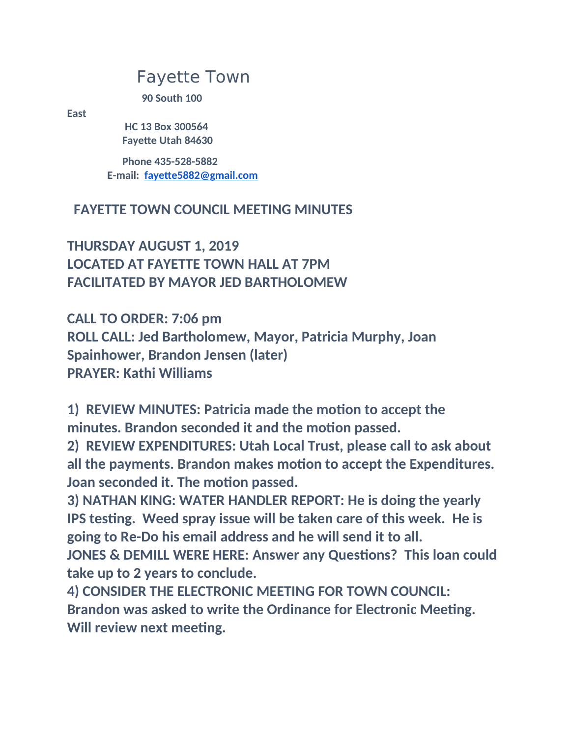## Fayette Town

**90 South 100** 

**East**

 **HC 13 Box 300564 Fayette Utah 84630**

 **Phone 435-528-5882 E-mail: [fayette5882@gmail.com](mailto:fayette5882@gmail.com)**

## **FAYETTE TOWN COUNCIL MEETING MINUTES**

**THURSDAY AUGUST 1, 2019 LOCATED AT FAYETTE TOWN HALL AT 7PM FACILITATED BY MAYOR JED BARTHOLOMEW**

**CALL TO ORDER: 7:06 pm ROLL CALL: Jed Bartholomew, Mayor, Patricia Murphy, Joan Spainhower, Brandon Jensen (later) PRAYER: Kathi Williams**

**1) REVIEW MINUTES: Patricia made the motion to accept the minutes. Brandon seconded it and the motion passed.**

**2) REVIEW EXPENDITURES: Utah Local Trust, please call to ask about all the payments. Brandon makes motion to accept the Expenditures. Joan seconded it. The motion passed.**

**3) NATHAN KING: WATER HANDLER REPORT: He is doing the yearly IPS testing. Weed spray issue will be taken care of this week. He is going to Re-Do his email address and he will send it to all.**

**JONES & DEMILL WERE HERE: Answer any Questions? This loan could take up to 2 years to conclude.**

**4) CONSIDER THE ELECTRONIC MEETING FOR TOWN COUNCIL: Brandon was asked to write the Ordinance for Electronic Meeting. Will review next meeting.**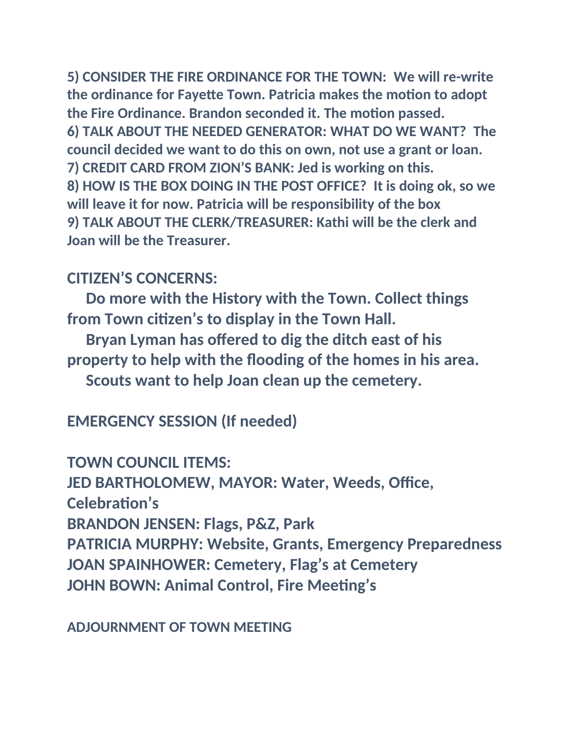**5) CONSIDER THE FIRE ORDINANCE FOR THE TOWN: We will re-write the ordinance for Fayette Town. Patricia makes the motion to adopt the Fire Ordinance. Brandon seconded it. The motion passed. 6) TALK ABOUT THE NEEDED GENERATOR: WHAT DO WE WANT? The council decided we want to do this on own, not use a grant or loan. 7) CREDIT CARD FROM ZION'S BANK: Jed is working on this. 8) HOW IS THE BOX DOING IN THE POST OFFICE? It is doing ok, so we will leave it for now. Patricia will be responsibility of the box 9) TALK ABOUT THE CLERK/TREASURER: Kathi will be the clerk and Joan will be the Treasurer.**

## **CITIZEN'S CONCERNS:**

 **Do more with the History with the Town. Collect things from Town citizen's to display in the Town Hall.**

 **Bryan Lyman has offered to dig the ditch east of his property to help with the flooding of the homes in his area. Scouts want to help Joan clean up the cemetery.**

**EMERGENCY SESSION (If needed)**

**TOWN COUNCIL ITEMS:**

**JED BARTHOLOMEW, MAYOR: Water, Weeds, Office,** 

**Celebration's**

**BRANDON JENSEN: Flags, P&Z, Park**

**PATRICIA MURPHY: Website, Grants, Emergency Preparedness JOAN SPAINHOWER: Cemetery, Flag's at Cemetery JOHN BOWN: Animal Control, Fire Meeting's**

## **ADJOURNMENT OF TOWN MEETING**